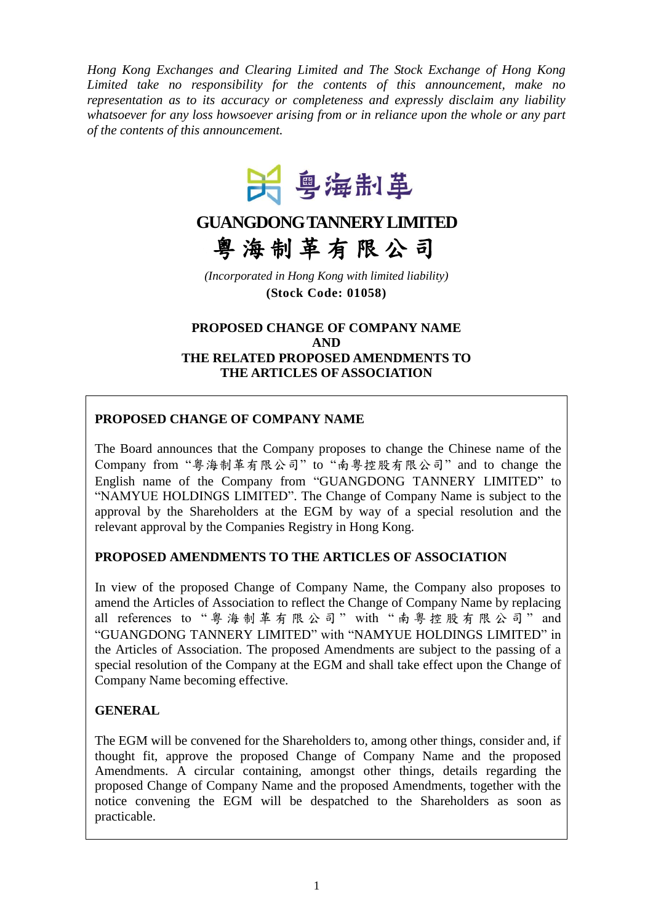*Hong Kong Exchanges and Clearing Limited and The Stock Exchange of Hong Kong Limited take no responsibility for the contents of this announcement, make no representation as to its accuracy or completeness and expressly disclaim any liability whatsoever for any loss howsoever arising from or in reliance upon the whole or any part of the contents of this announcement.*



# **GUANGDONG TANNERY LIMITED** 粤 海 制 革 有 限 公 司

*(Incorporated in Hong Kong with limited liability)* **(Stock Code: 01058)**

## **PROPOSED CHANGE OF COMPANY NAME AND THE RELATED PROPOSED AMENDMENTS TO THE ARTICLES OF ASSOCIATION**

## **PROPOSED CHANGE OF COMPANY NAME**

The Board announces that the Company proposes to change the Chinese name of the Company from "粤海制革有限公司" to "南粵控股有限公司" and to change the English name of the Company from "GUANGDONG TANNERY LIMITED" to "NAMYUE HOLDINGS LIMITED". The Change of Company Name is subject to the approval by the Shareholders at the EGM by way of a special resolution and the relevant approval by the Companies Registry in Hong Kong.

## **PROPOSED AMENDMENTS TO THE ARTICLES OF ASSOCIATION**

In view of the proposed Change of Company Name, the Company also proposes to amend the Articles of Association to reflect the Change of Company Name by replacing all references to " 粤 海制革有限公司 " with " 南 粵 控 股 有 限 公 司 " and "GUANGDONG TANNERY LIMITED" with "NAMYUE HOLDINGS LIMITED" in the Articles of Association. The proposed Amendments are subject to the passing of a special resolution of the Company at the EGM and shall take effect upon the Change of Company Name becoming effective.

## **GENERAL**

The EGM will be convened for the Shareholders to, among other things, consider and, if thought fit, approve the proposed Change of Company Name and the proposed Amendments. A circular containing, amongst other things, details regarding the proposed Change of Company Name and the proposed Amendments, together with the notice convening the EGM will be despatched to the Shareholders as soon as practicable.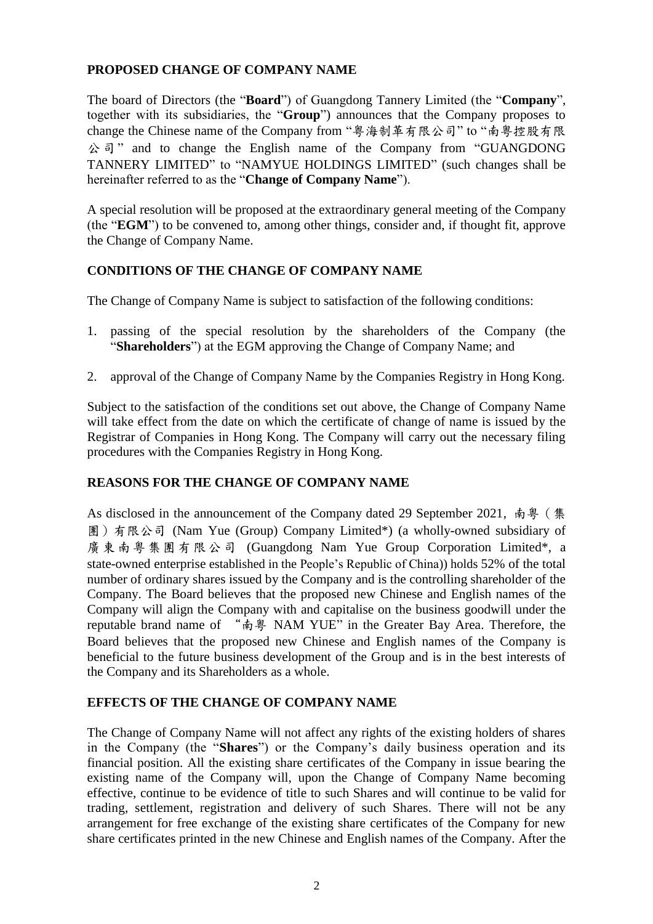## **PROPOSED CHANGE OF COMPANY NAME**

The board of Directors (the "**Board**") of Guangdong Tannery Limited (the "**Company**", together with its subsidiaries, the "**Group**") announces that the Company proposes to change the Chinese name of the Company from "粤海制革有限公司" to "南粵控股有限 公司" and to change the English name of the Company from "GUANGDONG TANNERY LIMITED" to "NAMYUE HOLDINGS LIMITED" (such changes shall be hereinafter referred to as the "**Change of Company Name**").

A special resolution will be proposed at the extraordinary general meeting of the Company (the "**EGM**") to be convened to, among other things, consider and, if thought fit, approve the Change of Company Name.

## **CONDITIONS OF THE CHANGE OF COMPANY NAME**

The Change of Company Name is subject to satisfaction of the following conditions:

- 1. passing of the special resolution by the shareholders of the Company (the "**Shareholders**") at the EGM approving the Change of Company Name; and
- 2. approval of the Change of Company Name by the Companies Registry in Hong Kong.

Subject to the satisfaction of the conditions set out above, the Change of Company Name will take effect from the date on which the certificate of change of name is issued by the Registrar of Companies in Hong Kong. The Company will carry out the necessary filing procedures with the Companies Registry in Hong Kong.

## **REASONS FOR THE CHANGE OF COMPANY NAME**

As disclosed in the announcement of the Company dated 29 September 2021, 南粵 (集 團)有限公司 (Nam Yue (Group) Company Limited\*) (a wholly-owned subsidiary of 廣東南粵集團有限公司 (Guangdong Nam Yue Group Corporation Limited\*, a state-owned enterprise established in the People's Republic of China)) holds 52% of the total number of ordinary shares issued by the Company and is the controlling shareholder of the Company. The Board believes that the proposed new Chinese and English names of the Company will align the Company with and capitalise on the business goodwill under the reputable brand name of "南粵 NAM YUE" in the Greater Bay Area. Therefore, the Board believes that the proposed new Chinese and English names of the Company is beneficial to the future business development of the Group and is in the best interests of the Company and its Shareholders as a whole.

## **EFFECTS OF THE CHANGE OF COMPANY NAME**

The Change of Company Name will not affect any rights of the existing holders of shares in the Company (the "**Shares**") or the Company's daily business operation and its financial position. All the existing share certificates of the Company in issue bearing the existing name of the Company will, upon the Change of Company Name becoming effective, continue to be evidence of title to such Shares and will continue to be valid for trading, settlement, registration and delivery of such Shares. There will not be any arrangement for free exchange of the existing share certificates of the Company for new share certificates printed in the new Chinese and English names of the Company. After the